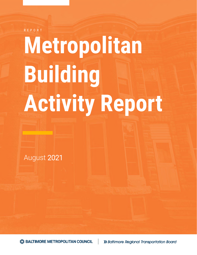R E P O R T

# **Metropolitan Building Activity Report**

August 2021

S BALTIMORE METROPOLITAN COUNCIL

>> Baltimore Regional Transportation Board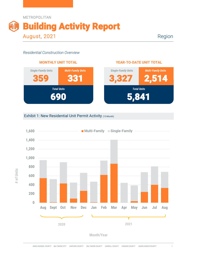

Region

2,514

#### *Residential Construction Overview*



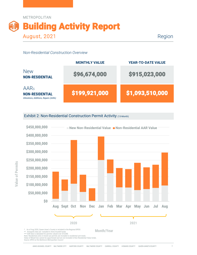

Region

#### *Non-Residential Construction Overview*

|                                                                                 | <b>MONTHLY VALUE</b> | <b>YEAR-TO-DATE VALUE</b> |
|---------------------------------------------------------------------------------|----------------------|---------------------------|
| <b>New</b><br><b>NON-RESIDENTIAL</b>                                            | \$96,674,000         | \$915,023,000             |
| <b>AARs</b><br><b>NON-RESIDENTIAL</b><br>Alterations, Additions, Repairs (AARs) | \$199,921,000        | \$1,093,510,000           |

Exhibit 2: Non-Residential Construction Permit Activity (13-Month)



Note: Residential units in mixed-use permits are included in residential unit totals. Value of Mixed-Use cannot be apportioned and are not included in Non-Residential Value totals.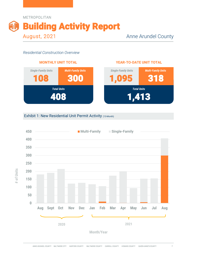



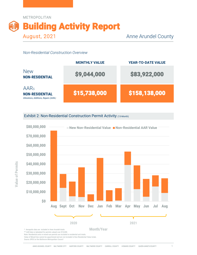



Exhibit 2: Non-Residential Construction Permit Activity (13-Month)



Note: Residential units in mixed-use permits are included in residential unit totals.

Value of Mixed-Use cannot be apportioned and are not included in Non-Residential Value totals.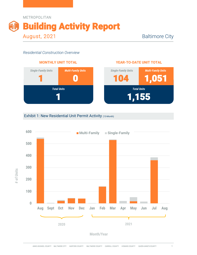



#### **YEAR-TO-DATE UNIT TOTAL**



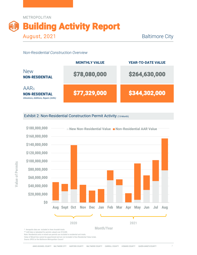

|                                                                                 | <b>MONTHLY VALUE</b> | <b>YEAR-TO-DATE VALUE</b> |
|---------------------------------------------------------------------------------|----------------------|---------------------------|
| <b>New</b><br><b>NON-RESIDENTIAL</b>                                            | \$78,080,000         | \$264,630,000             |
| <b>AARs</b><br><b>NON-RESIDENTIAL</b><br>Alterations, Additions, Repairs (AARs) | \$77,329,000         | \$344,302,000             |

Exhibit 2: Non-Residential Construction Permit Activity (13-Month)



\*\* AAR data is tabulated for permits valued over \$10,000.

Note: Residential units in mixed-use permits are included in residential unit totals.

Value of Mixed-Use cannot be apportioned and are not included in Non-Residential Value totals.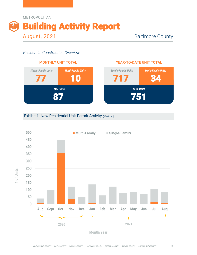



#### **YEAR-TO-DATE UNIT TOTAL**



### Exhibit 1: New Residential Unit Permit Activity (13-Month)



**Month/Year**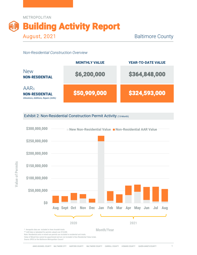

|                                                                                      | <b>MONTHLY VALUE</b> | <b>YEAR-TO-DATE VALUE</b> |
|--------------------------------------------------------------------------------------|----------------------|---------------------------|
| <b>New</b><br><b>NON-RESIDENTIAL</b>                                                 | \$6,200,000          | \$364,848,000             |
| AAR <sub>s</sub><br><b>NON-RESIDENTIAL</b><br>Alterations, Additions, Repairs (AARs) | \$50,909,000         | \$324,593,000             |

Exhibit 2: Non-Residential Construction Permit Activity (13-Month)



Value of Mixed-Use cannot be apportioned and are not included in Non-Residential Value totals.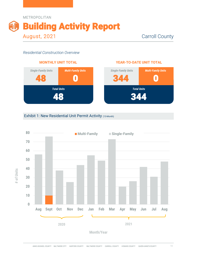



#### **YEAR-TO-DATE UNIT TOTAL**



#### Exhibit 1: New Residential Unit Permit Activity (13-Month)



**Month/Year**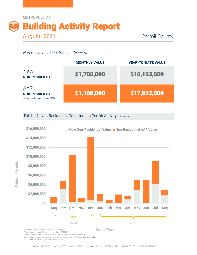

|                                                                                      | <b>MONTHLY VALUE</b> | <b>YEAR-TO-DATE VALUE</b> |
|--------------------------------------------------------------------------------------|----------------------|---------------------------|
| <b>New</b><br><b>NON-RESIDENTIAL</b>                                                 | \$1,700,000          | \$10,123,000              |
| AAR <sub>s</sub><br><b>NON-RESIDENTIAL</b><br>Alterations, Additions, Repairs (AARs) | \$1,168,000          | \$17,832,000              |

Exhibit 2: Non-Residential Construction Permit Activity (13-Month)



\*\* AAR data is tabulated for permits valued over \$10,000.

Note: Residential units in mixed-use permits are included in residential unit totals.

Value of Mixed-Use cannot be apportioned and are not included in Non-Residential Value totals.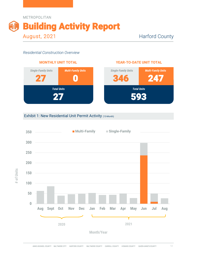



#### **YEAR-TO-DATE UNIT TOTAL**



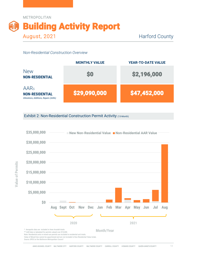



Exhibit 2: Non-Residential Construction Permit Activity (13-Month)



ANNE ARUNDEL COUNTY BALTIMORE CITY HARFORD COUNTY BALTIMORE COUNTY CARROLL COUNTY HOWARD COUNTY QUEEN ANNE'S COUNTY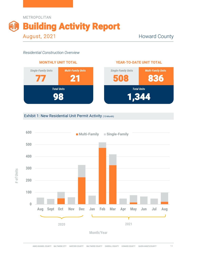



### **YEAR-TO-DATE UNIT TOTAL**



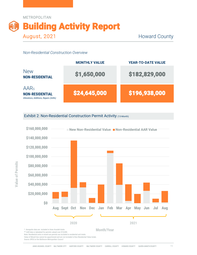



Exhibit 2: Non-Residential Construction Permit Activity (13-Month)



\*\* AAR data is tabulated for permits valued over \$10,000. Note: Residential units in mixed-use permits are included in residential unit totals.

Value of Mixed-Use cannot be apportioned and are not included in Non-Residential Value totals.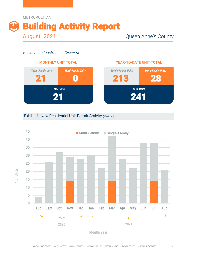

**# of Units**



#### **YEAR-TO-DATE UNIT TOTAL**



### Exhibit 1: New Residential Unit Permit Activity (13-Month)



**Month/Year**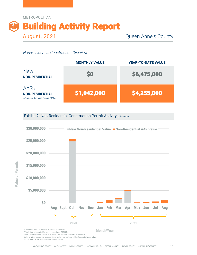



Exhibit 2: Non-Residential Construction Permit Activity (13-Month)

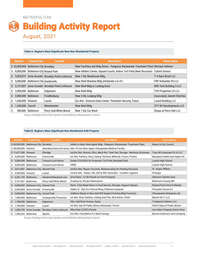#### METROPOLITAN

# Building Activity Report August, 2021

#### **Table A. Region's Most Significant New Non-Residential Projects**

|     |                          | <b>METROPOLITAN</b>                   |                                                |                                                                                                                                              |                                    |
|-----|--------------------------|---------------------------------------|------------------------------------------------|----------------------------------------------------------------------------------------------------------------------------------------------|------------------------------------|
|     |                          |                                       |                                                |                                                                                                                                              |                                    |
|     |                          |                                       |                                                | <b>Building Activity Report</b>                                                                                                              |                                    |
|     |                          |                                       |                                                |                                                                                                                                              |                                    |
|     |                          | <b>August, 2021</b>                   |                                                |                                                                                                                                              |                                    |
|     |                          |                                       |                                                |                                                                                                                                              |                                    |
|     |                          |                                       |                                                |                                                                                                                                              |                                    |
|     |                          |                                       |                                                | Table A. Region's Most Significant New Non-Residential Projects                                                                              |                                    |
|     |                          |                                       |                                                |                                                                                                                                              |                                    |
|     | <b>Amount</b>            | <b>County/City</b>                    | <b>Location</b>                                | <b>Description</b>                                                                                                                           | <b>Owner Name</b>                  |
|     | \$65,000,000             | <b>Baltimore City Brooklyn</b>        |                                                | New Facilities and Bldg Renos - Patapsco Wastewater Treatment Plant Michael Hallmen                                                          |                                    |
| Ş   |                          | 8,000,000 Baltimore City Roland Park  |                                                | New Athletic Center, Squash Courts, Indoor Turf Field (New Structure)                                                                        | <b>Calvert School</b>              |
| S   |                          |                                       | 5,905,872 Anne Arundel Brooklyn Park/Linthicum | New 1-Sty Warehouse Bldg                                                                                                                     | T A Race Road LLC                  |
| S   |                          | 5,000,000 Baltimore City Gardenville  |                                                | New Shell Warehse Bldg (Hollander Lot 41)                                                                                                    | FRP Hollander 95 LLC               |
| S   |                          |                                       | 3,137,807 Anne Arundel Brooklyn Park/Linthicum | New Shell Bldg w Loading Dock                                                                                                                | <b>BWI Tech Building 3 LLC</b>     |
| S   |                          | 3,000,000 Baltimore                   | Edgemere                                       | New Shell Bldg                                                                                                                               | TPA Properties 23 LLC              |
| \$  |                          | 2,000,000 Baltimore                   | Fowblesburg                                    | New 2-Sty Lodging Bldg                                                                                                                       | <b>Associated Jewish Charities</b> |
| Ŝ   | 1,650,000 Howard         |                                       | Laurel                                         | Ext Alts - Emerson Data Center: Perimeter Security, Fence                                                                                    | <b>Laurel Building LLC</b>         |
| \$  | 1,250,000 Carroll        |                                       | Westminster                                    | New Shell Bldg                                                                                                                               | CFT NV Developments LLC            |
| \$  |                          | 500,000 Baltimore                     | Perry Hall/White Marsh                         | New 1-Sty Car Wash                                                                                                                           | Shops at Perry Hall LLC            |
|     |                          |                                       |                                                | Source: Building Permit Data System at the Baltimore Metropolitan Council<br>Table B. Region's Most Significant Non-Residential AAR Projects |                                    |
|     |                          |                                       |                                                |                                                                                                                                              |                                    |
|     | <b>Amount</b>            | <b>County/City</b>                    | <b>Location</b>                                | <b>Description</b>                                                                                                                           | <b>Owner Name</b>                  |
|     | \$60,000,000             | <b>Baltimore City</b>                 | Brooklyn                                       | Addtn to Main Switchgear Bldg - Patapsco Wastewater Treatment Plant                                                                          | Mayor & City Council               |
|     | \$28,900,000 Harford     |                                       |                                                | Aberdeen/Havre De Grace Alts: Fit Out New Upper Chesapeake Medical Facility                                                                  |                                    |
|     | \$11,677,200 Howard      |                                       | Elkridge                                       | Int/Ext Alts: Rstrms, Ofcs, Mech Rm, Tank Pad, Storage - Northrop Grumman                                                                    | Troy Hill Corporate Ctr III LLC    |
| \$. | 5,600,000 Baltimore      |                                       | Catonsville                                    | Int Alts: Partitns, Stud, Ceiling Tile/Grid, Millwork, Fixturs, Finishs                                                                      | Maryland Health and Higher Ed      |
| Ş.  | 5,000,000 Baltimore      |                                       | Towson/Loch Raven                              | Grade 370,433Sf for Proposed Turf Field, Baseball Field                                                                                      | Loyola High School                 |
| \$  | 5,000,000 Baltimore      |                                       | Towson/Loch Raven                              | SWM                                                                                                                                          | Loyola High School                 |
| \$. |                          | 3,815,081 Baltimore City Morrell Park |                                                | Int/Ext Alts: Repair Concrete, Waterproofing for Parking Structure                                                                           | St. Anges Wilkins                  |
|     | $\zeta$ 3.500.000 Howard |                                       | Laurel                                         | Int/Ext Alts - Suites 100, 200 & 300; Generator - Cavalier Logistics                                                                         | <b>Prologie</b>                    |

#### **Table B. Region's Most Significant Non-Residential AAR Projects**

| \$<br>Ş                    |                                          | 3,137,807 Anne Arundel Brooklyn Park/Linthicum | New Shell Bldg w Loading Dock                                               | <b>BWI Tech Building 3 LLC</b>     |  |  |
|----------------------------|------------------------------------------|------------------------------------------------|-----------------------------------------------------------------------------|------------------------------------|--|--|
|                            | 3,000,000 Baltimore                      | Edgemere                                       | New Shell Bldg                                                              | TPA Properties 23 LLC              |  |  |
|                            | 2,000,000 Baltimore                      | Fowblesburg                                    | New 2-Sty Lodging Bldg                                                      | <b>Associated Jewish Charities</b> |  |  |
| 1,650,000 Howard<br>\$     |                                          | Laurel                                         | Ext Alts - Emerson Data Center: Perimeter Security, Fence                   | Laurel Building LLC                |  |  |
| 1,250,000 Carroll<br>\$    |                                          | Westminster                                    | New Shell Bldg                                                              | CFT NV Developments LLC            |  |  |
| \$                         | 500,000 Baltimore                        | Perry Hall/White Marsh                         | New 1-Sty Car Wash                                                          | Shops at Perry Hall LLC            |  |  |
|                            |                                          |                                                | Source: Building Permit Data System at the Baltimore Metropolitan Council   |                                    |  |  |
|                            |                                          |                                                |                                                                             |                                    |  |  |
|                            |                                          |                                                | Table B. Region's Most Significant Non-Residential AAR Projects             |                                    |  |  |
| <b>Amount</b>              | <b>County/City</b>                       | <b>Location</b>                                | <b>Description</b>                                                          | <b>Owner Name</b>                  |  |  |
| \$60,000,000               | <b>Baltimore City Brooklyn</b>           |                                                | Addtn to Main Switchgear Bldg - Patapsco Wastewater Treatment Plant         | Mayor & City Council               |  |  |
| \$28,900,000 Harford       |                                          |                                                | Aberdeen/Havre De Grace Alts: Fit Out New Upper Chesapeake Medical Facility |                                    |  |  |
| \$11,677,200 Howard        |                                          | Elkridge                                       | Int/Ext Alts: Rstrms, Ofcs, Mech Rm, Tank Pad, Storage - Northrop Grumman   | Troy Hill Corporate Ctr III LLC    |  |  |
| \$ 5,600,000 Baltimore     |                                          | Catonsville                                    | Int Alts: Partitns, Stud, Ceiling Tile/Grid, Millwork, Fixturs, Finishs     | Maryland Health and Higher Ed      |  |  |
| \$ 5,000,000 Baltimore     |                                          | Towson/Loch Raven                              | Grade 370,433Sf for Proposed Turf Field, Baseball Field                     | Loyola High School                 |  |  |
| 5,000,000 Baltimore<br>\$. |                                          | Towson/Loch Raven                              | SWM                                                                         | Loyola High School                 |  |  |
|                            | \$ 3,815,081 Baltimore City Morrell Park |                                                | Int/Ext Alts: Repair Concrete, Waterproofing for Parking Structure          | St. Anges Wilkins                  |  |  |
| \$ 3,500,000 Howard        |                                          | Laurel                                         | Int/Ext Alts - Suites 100, 200 & 300: Generator - Cavalier Logistics        | Prologis                           |  |  |
| \$ 3,281,792 Baltimore     |                                          | Hereford/Maryland Line                         | Grnd Solar - 6,156 Panels on Farm Property                                  | <b>Atkinson Charles Gary</b>       |  |  |
| \$ 3,167,561 Baltimore     |                                          | Perry Hall/White Marsh                         | <b>Grading for Stream Restoration</b>                                       | <b>Baltimore County MD</b>         |  |  |
|                            | \$ 3,000,000 Baltimore City Roland Park  |                                                | Reno: 2-Sty Retail Store w Food Service, Storage, Support Spaces            | Roland Park-Victor'S Market        |  |  |
|                            | \$ 2,042,869 Anne Arundel                | Crownsville                                    | Addtn (2 - Sty) For Clinical Wing, Childcare Expands                        | Chrysalis House Inc                |  |  |
|                            | \$ 2,000,000 Baltimore City Carroll Park |                                                | Addition (Equip in New Add Will Support Existing Bldg Function)             | Chesapeake Biological Lab          |  |  |
| \$ 1,900,000 Baltimore     |                                          | Cockeysville/Timonium                          | Int Alts: Stud, Partitns, Ceiling Grid/Tile, ADA Rstrm, HVAC                | Merritt SC11 LLC                   |  |  |
| \$ 1,700,000 Baltimore     |                                          | Edgemere                                       | Alts: Add Roof Access, Equip                                                | <b>Tradepoint Atlantic LLC</b>     |  |  |
|                            |                                          | Laurel                                         | Int Alts: Dpt Of Public Works Wstewater Trtmnt                              | <b>HOCO Dept of Public Works</b>   |  |  |
| \$ 1,700,000 Howard        | \$ 1,606,759 Anne Arundel                | Brooklyn Park/Linthicum                        | Rftp Solar (2,057) Panels                                                   | Icon Mars Property Owner Pool      |  |  |
|                            | \$ 1,590,332 Baltimore                   | Sparks                                         | Ext Alts: Foundation for Steel Canopy                                       | Becton Dickinson and Company       |  |  |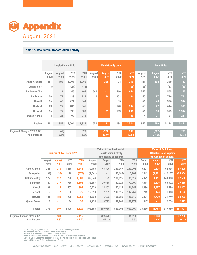

#### **Table 1a. Residential Construction Activity**

|                           |                                                            |                            | <b>YTD</b>                                                                     |                                                             |                                                                                                                                                       | <b>August</b>                                                                                  | <b>YTD</b>                                            | <b>YTD</b>                                                                                                        | August                                                          |                                                                             | <b>YTD</b>                                                       | <b>YTD</b>                                                                                                                                             |
|---------------------------|------------------------------------------------------------|----------------------------|--------------------------------------------------------------------------------|-------------------------------------------------------------|-------------------------------------------------------------------------------------------------------------------------------------------------------|------------------------------------------------------------------------------------------------|-------------------------------------------------------|-------------------------------------------------------------------------------------------------------------------|-----------------------------------------------------------------|-----------------------------------------------------------------------------|------------------------------------------------------------------|--------------------------------------------------------------------------------------------------------------------------------------------------------|
|                           | 2020                                                       | 2021                       | 2020                                                                           |                                                             | 2020                                                                                                                                                  | 2021                                                                                           | 2020                                                  | 2021                                                                                                              | 2020                                                            | 2021                                                                        | 2020                                                             | 2021                                                                                                                                                   |
| <b>Anne Arundel</b>       | 181                                                        | 108                        | 1,296                                                                          | 1,095                                                       | $\overline{\phantom{a}}$                                                                                                                              | 300                                                                                            | 24                                                    | 318                                                                                                               | 181                                                             | 408                                                                         | 1,320                                                            | 1,413                                                                                                                                                  |
| Annapolis*                | (3)                                                        | $\overline{\phantom{a}}$   | (27)                                                                           |                                                             | $\overline{\phantom{a}}$                                                                                                                              | ÷                                                                                              |                                                       | (8)                                                                                                               | (3)                                                             | ÷.                                                                          | (27)                                                             | (19)                                                                                                                                                   |
| <b>Baltimore City</b>     | 11                                                         | $\mathbf{1}$               | 45                                                                             | 104                                                         | 541                                                                                                                                                   | ÷.                                                                                             | 1,460                                                 | 1,051                                                                                                             | 552                                                             | -1                                                                          | 1,505                                                            | 1,155                                                                                                                                                  |
| <b>Baltimore</b>          | 30                                                         | 77                         | 423                                                                            | 717                                                         | 10                                                                                                                                                    | 10                                                                                             | 303                                                   | 34                                                                                                                | 40                                                              | 87                                                                          | 726                                                              | 751                                                                                                                                                    |
| Carroll                   | 56                                                         | 48                         | 271                                                                            | 344                                                         | $\overline{\phantom{a}}$                                                                                                                              | $\sim$                                                                                         | 35                                                    | ÷.                                                                                                                | 56                                                              | 48                                                                          | 306                                                              | 344                                                                                                                                                    |
| <b>Harford</b>            | 63                                                         | 27                         | 486                                                                            | 346                                                         | $\blacksquare$                                                                                                                                        | ÷.                                                                                             | 128                                                   | 247                                                                                                               | 63                                                              | 27                                                                          | 614                                                              | 593                                                                                                                                                    |
| <b>Howard</b>             | 56                                                         | 77                         | 390                                                                            | 508                                                         | $\overline{\phantom{a}}$                                                                                                                              | 21                                                                                             | 183                                                   | 836                                                                                                               | 56                                                              | 98                                                                          | 573                                                              | 1,344                                                                                                                                                  |
| <b>Queen Annes</b>        | 4                                                          | 21                         | 93                                                                             | 213                                                         | $\overline{\phantom{a}}$                                                                                                                              |                                                                                                | 1                                                     | 28                                                                                                                | 4                                                               | 21                                                                          | 94                                                               | 241                                                                                                                                                    |
| Region                    | 401                                                        | 359                        | 3,004                                                                          |                                                             | 551                                                                                                                                                   | 331                                                                                            | 2,134                                                 | 2,514                                                                                                             | 952                                                             | 690                                                                         | 5,138                                                            | 5,841                                                                                                                                                  |
| Regional Change 2020-2021 |                                                            |                            |                                                                                | 323                                                         |                                                                                                                                                       | (220)                                                                                          |                                                       | 380                                                                                                               |                                                                 | (262)                                                                       |                                                                  | 703                                                                                                                                                    |
| As a Percent              |                                                            |                            |                                                                                |                                                             |                                                                                                                                                       |                                                                                                |                                                       |                                                                                                                   |                                                                 |                                                                             |                                                                  | 13.7%                                                                                                                                                  |
|                           |                                                            |                            |                                                                                |                                                             |                                                                                                                                                       |                                                                                                |                                                       |                                                                                                                   |                                                                 |                                                                             |                                                                  |                                                                                                                                                        |
|                           |                                                            |                            |                                                                                |                                                             |                                                                                                                                                       |                                                                                                |                                                       |                                                                                                                   |                                                                 |                                                                             |                                                                  |                                                                                                                                                        |
|                           |                                                            |                            |                                                                                |                                                             |                                                                                                                                                       |                                                                                                |                                                       |                                                                                                                   |                                                                 |                                                                             |                                                                  |                                                                                                                                                        |
|                           |                                                            |                            |                                                                                |                                                             |                                                                                                                                                       |                                                                                                |                                                       |                                                                                                                   |                                                                 |                                                                             |                                                                  |                                                                                                                                                        |
|                           | August                                                     | <b>August</b>              | <b>YTD</b>                                                                     | <b>YTD</b>                                                  | August                                                                                                                                                |                                                                                                | <b>YTD</b>                                            |                                                                                                                   | August                                                          | <b>August</b>                                                               | <b>YTD</b>                                                       | <b>YTD</b>                                                                                                                                             |
|                           |                                                            |                            |                                                                                |                                                             |                                                                                                                                                       |                                                                                                |                                                       |                                                                                                                   |                                                                 |                                                                             |                                                                  | 2021                                                                                                                                                   |
|                           |                                                            |                            |                                                                                |                                                             |                                                                                                                                                       |                                                                                                |                                                       |                                                                                                                   |                                                                 |                                                                             |                                                                  | 87,408                                                                                                                                                 |
|                           |                                                            |                            |                                                                                |                                                             |                                                                                                                                                       |                                                                                                |                                                       |                                                                                                                   |                                                                 |                                                                             |                                                                  | (24, 354)                                                                                                                                              |
|                           |                                                            |                            |                                                                                |                                                             |                                                                                                                                                       |                                                                                                |                                                       |                                                                                                                   |                                                                 |                                                                             |                                                                  | 92,568                                                                                                                                                 |
|                           | <b>Anne Arundel</b><br>Annapolis*<br><b>Baltimore City</b> | 2020<br>225<br>(34)<br>122 | <b>Appendix</b><br><b>August, 2021</b><br>August<br>2021<br>240<br>(37)<br>112 | August<br>(42)<br>$-10.5%$<br>2020<br>1,268<br>(179)<br>796 | <b>Table 1a. Residential Construction Activity</b><br><b>Single-Family Units</b><br><b>Number of AAR Permits**</b><br>2021<br>1,848<br>(376)<br>1,003 | <b>YTD</b><br>August<br>2021<br>(11)<br>3,327<br>10.8%<br>2020<br>32,466<br>(2, 541)<br>89,544 | $-39.9%$<br>August<br>2021<br>45,806<br>$\sim$<br>195 | <b>Multi-Family Units</b><br><b>Construction Activity</b><br>(thousands of dollars)<br>2020<br>230,067<br>130,026 | 17.8%<br><b>Value of New Residential</b><br>239,095<br>(13,686) | <b>YTD</b><br>2020<br>2021<br>10,221<br>5,707<br>(2,643)<br>6,979<br>85,817 | <b>August</b><br>$-27.5%$<br>2021<br>10,475<br>(1,901)<br>11,451 | <b>Total Units</b><br><b>Value of Additions,</b><br><b>Alterations and Repairs</b><br>(thousands of dollars)<br>2020<br>62,095<br>(12, 137)<br>148,898 |

|                                     |                |                                |              |                |                          |                                                                                           |                     |                 | (3)              |                  |                                                                                        | (19)                |
|-------------------------------------|----------------|--------------------------------|--------------|----------------|--------------------------|-------------------------------------------------------------------------------------------|---------------------|-----------------|------------------|------------------|----------------------------------------------------------------------------------------|---------------------|
| Annapolis*                          | (3)            |                                | (27)         | (11)           |                          |                                                                                           |                     | (8)             |                  |                  | (27)                                                                                   |                     |
| <b>Baltimore City</b>               | 11             | $\mathbf{1}$                   | 45           | 104            | 541                      | ä,                                                                                        | 1,460               | 1,051           | 552              | п                | 1,505                                                                                  | 1,155               |
| <b>Baltimore</b>                    | 30             | 77                             | 423          | 717            | 10                       | 10                                                                                        | 303                 | 34              | 40               | 87               | 726                                                                                    | 751                 |
| Carroll                             | 56             | 48                             | 271          | 344            |                          | ÷.                                                                                        | 35                  | $\blacksquare$  | 56               | 48               | 306                                                                                    | 344                 |
| <b>Harford</b>                      | 63             | 27                             | 486          | 346            | $\blacksquare$           | ÷.                                                                                        | 128                 | 247             | 63               | 27               | 614                                                                                    | 593                 |
| <b>Howard</b>                       | 56             | 77                             | 390          | 508            | $\blacksquare$           | 21                                                                                        | 183                 | 836             | 56               | 98               | 573                                                                                    | 1,344               |
| <b>Queen Annes</b>                  | 4              | 21                             | 93           | 213            | $\overline{\phantom{a}}$ |                                                                                           | 1                   | 28              | 4                | 21               | 94                                                                                     | 241                 |
| Region                              | 401            | 359                            | 3,004        | 3,327          | 551                      | 331                                                                                       | 2,134               | 2,514           | 952              | 690              | 5,138                                                                                  | 5,841               |
| Regional Change 2020-2021           |                | (42)                           |              | 323            |                          | (220)                                                                                     |                     | 380             |                  | (262)            |                                                                                        | 703                 |
| As a Percent                        |                | $-10.5%$                       |              | 10.8%          |                          | $-39.9%$                                                                                  |                     | 17.8%           |                  | $-27.5%$         |                                                                                        | 13.7%               |
|                                     |                |                                |              |                |                          |                                                                                           |                     |                 |                  |                  |                                                                                        |                     |
|                                     |                | <b>Number of AAR Permits**</b> |              |                |                          | <b>Value of New Residential</b><br><b>Construction Activity</b><br>(thousands of dollars) |                     |                 |                  |                  | <b>Value of Additions,</b><br><b>Alterations and Repairs</b><br>(thousands of dollars) |                     |
|                                     | August         | <b>August</b>                  | <b>YTD</b>   | <b>YTD</b>     | August                   | August                                                                                    | <b>YTD</b>          | <b>YTD</b>      | August           | <b>August</b>    | <b>YTD</b>                                                                             | <b>YTD</b>          |
|                                     | 2020           | 2021                           | 2020         | 2021           | 2020                     | 2021                                                                                      | 2020                | 2021            | 2020             | 2021             | 2020                                                                                   | 2021                |
| <b>Anne Arundel</b>                 | 225            | 240                            | 1,268        | 1,848          | 32,466                   | 45,806<br>$\overline{\phantom{a}}$                                                        | 230,067             | 239,095         | 10,221           | 10,475           | 62,095                                                                                 | 87,408              |
| Annapolis*<br><b>Baltimore City</b> | (34)<br>122    | (37)<br>112                    | (179)<br>796 | (376)<br>1,003 | (2, 541)<br>89,544       | 195                                                                                       | (13,686)<br>130,026 | 5,707<br>85,817 | (2,643)<br>6,979 | (1,901)          | (12, 137)                                                                              |                     |
| <b>Baltimore</b>                    | 149            | 277                            | 930          | 1,598          | 33,357                   | 20,568                                                                                    | 137,021             | 177,909         | 7,314            | 11,451<br>12,376 | 148,898<br>53,522                                                                      | 92,568<br>79,455    |
| Carroll                             | 91             | 82                             | 507          | 802            | 10,929                   | 14,403                                                                                    | 57,122              | 81,742          | 2,936            | 3,557            | 18,589                                                                                 | 32,302              |
| <b>Harford</b>                      | $\overline{2}$ | $\overline{7}$                 | 30           | 76             | 19,618                   | 7,701                                                                                     | 143,915             | 147,257         | 212              | 174              | 1,458                                                                                  | 3,123               |
| Howard                              | 181            | 189                            | 938          | 1,263          | 11,520                   | 16,632                                                                                    | 106,086             | 125,810         | 5,421            | 7,730            | 31,749                                                                                 | (24, 354)<br>53,922 |
| <b>Queen Annes</b>                  | 3              | ÷.                             | 36           | 30             | 1,124                    | 3,775                                                                                     | 18,861              | 52,279          | 347              | ٠                | 2,758                                                                                  | 2,523               |
| Region                              | 773            | 907                            | 4.505        | 6,620          | 198.558                  | 109.080                                                                                   | 823.098             | 909.909         | 33.430           | 45,763           | 319.069                                                                                | 351,301             |
| Regional Change 2020-2021           |                | 134                            |              | 2,115          |                          | (89, 478)                                                                                 |                     | 86,811          |                  | 12,333           |                                                                                        | 32,232              |

\* As of Aug 2020, Queen Anne's County is included in the Regional BPDS<br>\*\* Annapolis data are included in Anne Arundel totals<br>\*\*\* AAR data is tabulated for permits valued over \$10,000.<br>Note: Residential units in mixed-use p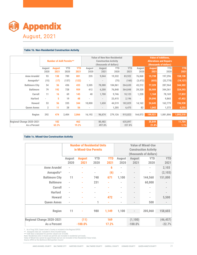

#### **Table 1b. Non-Residential Construction Activity**

| <b>Appendix</b>                                        |                |                     |                                |            |                          |                                                        |            |            |                          |                          |                              |                                                          |            |
|--------------------------------------------------------|----------------|---------------------|--------------------------------|------------|--------------------------|--------------------------------------------------------|------------|------------|--------------------------|--------------------------|------------------------------|----------------------------------------------------------|------------|
|                                                        |                |                     |                                |            |                          |                                                        |            |            |                          |                          |                              |                                                          |            |
| <b>August, 2021</b>                                    |                |                     |                                |            |                          |                                                        |            |            |                          |                          |                              |                                                          |            |
|                                                        |                |                     |                                |            |                          |                                                        |            |            |                          |                          |                              |                                                          |            |
|                                                        |                |                     |                                |            |                          |                                                        |            |            |                          |                          |                              |                                                          |            |
| <b>Table 1b. Non-Residential Construction Activity</b> |                |                     |                                |            |                          |                                                        |            |            |                          |                          |                              |                                                          |            |
|                                                        |                |                     |                                |            |                          |                                                        |            |            |                          |                          |                              |                                                          |            |
|                                                        |                |                     |                                |            |                          | <b>Value of New Non-Residential</b>                    |            |            |                          |                          |                              | <b>Value of Additions,</b>                               |            |
|                                                        |                |                     | <b>Number of AAR Permits**</b> |            |                          | <b>Construction Activity</b><br>(thousands of dollars) |            |            |                          |                          |                              | <b>Alterations and Repairs</b><br>(thousands of dollars) |            |
|                                                        | August         | <b>August</b>       | <b>YTD</b>                     | <b>YTD</b> | August                   | August                                                 |            | <b>YTD</b> | <b>YTD</b>               | August                   | <b>August</b>                | <b>YTD</b>                                               | <b>YTD</b> |
|                                                        | 2020           | 2021                | 2020                           | 2021       | 2020                     | 2021                                                   |            | 2020       | 2021                     | 2020                     | 2021                         | 2020                                                     | 2021       |
| <b>Anne Arundel</b>                                    | 93             | 138                 | 789                            | 881        | 235                      | 9,044                                                  |            | 19,332     | 83,922                   | 76,068                   | 15,738                       | 197,296                                                  | 158,138    |
| Annapolis*                                             | (15)           | (17)                | (137)                          | (122)      | $\overline{\phantom{a}}$ | $\overline{\phantom{a}}$                               |            | (75)       | (160)                    | (3, 472)                 | (655)                        | (22, 778)                                                | (19, 127)  |
| <b>Baltimore City</b>                                  | 54             | 56                  | 436                            | 433        | 5,505                    | 78,080                                                 | 104,061    |            | 264,630                  | 43,212                   | 77,329                       | 287,964                                                  | 344,302    |
| <b>Baltimore</b>                                       | 79             | 192                 | 728                            | 959        | 412                      | 6,200                                                  |            | 76,848     | 364,848                  | 29,320                   | 50,909                       | 344,361                                                  | 324,593    |
| Carroll                                                | 11             | 16                  | 69                             | 145        | 40                       | 1,700                                                  |            | 9,746      | 10,123                   | 1,228                    | 1,168                        | 78,169                                                   | 17,832     |
| <b>Harford</b>                                         | $\sim$         | 5                   | 19                             | 48         | à.                       | $\overline{\phantom{a}}$                               |            | 23,415     | 2,196                    | $\overline{\phantom{a}}$ | 29,090                       | 9,865                                                    | 47,452     |
| <b>Howard</b>                                          | 53             | 56                  | 335                            | 344        | 10,000                   | 1,650                                                  |            | 44,519     | 182,829                  | 14,162                   | 24,645                       | 162,779                                                  | 196,938    |
| <b>Queen Annes</b>                                     | $\overline{2}$ | 11                  | 28                             | 56         | ٠                        | $\sim$                                                 |            | 1,205      | 6,475                    | 82                       | 1,042                        | 1,372                                                    | 4,255      |
| Region                                                 | 292            | 474                 | 2,404                          | 2,866      | 16,192                   | 96,674                                                 |            | 279,126    | 915,023                  | 164.072                  | 199,921                      | 1,081,806                                                | 1,093,510  |
| Regional Change 2020-2021                              |                | 182                 |                                | 462        |                          | 80,482                                                 |            |            | 635,897                  |                          | 35,849                       |                                                          | 11,704     |
| As a Percent                                           |                | 62.3%               |                                | 19.2%      |                          | 497.0%                                                 |            |            | 227.8%                   |                          | $\overline{21.8\%}$          |                                                          | 1.1%       |
| <b>Table 1c. Mixed-Use Construction Activity</b>       |                |                     |                                |            |                          |                                                        |            |            |                          |                          |                              |                                                          |            |
|                                                        |                |                     |                                |            |                          |                                                        |            |            |                          |                          |                              |                                                          |            |
|                                                        |                |                     |                                |            |                          | <b>Number of Residential Units</b>                     |            |            |                          |                          | <b>Value of Mixed-Use</b>    |                                                          |            |
|                                                        |                |                     |                                |            | in Mixed-Use Permits     |                                                        |            |            |                          |                          | <b>Construction Activity</b> |                                                          |            |
|                                                        |                |                     |                                |            |                          |                                                        |            |            |                          |                          | (thousands of dollars)       |                                                          |            |
|                                                        |                |                     | August                         |            | <b>August</b>            | <b>YTD</b>                                             | <b>YTD</b> |            | August                   | August                   | <b>YTD</b>                   | <b>YTD</b>                                               |            |
|                                                        |                |                     | 2020                           |            | 2021                     | 2020                                                   | 2021       |            | 2020                     | 2021                     | 2020                         | 2021                                                     |            |
|                                                        |                | <b>Anne Arundel</b> | $\overline{\phantom{a}}$       | ä,         |                          | $\overline{\phantom{a}}$                               | 6          |            | $\overline{\phantom{a}}$ | $\bar{a}$                | $\overline{\phantom{a}}$     | 2,103                                                    |            |
|                                                        |                | Annapolis*          |                                |            |                          | ×,                                                     | (6)        |            | ä,                       |                          | ×,                           | (2, 103)                                                 |            |
|                                                        |                | Raltimore City      | 11                             |            |                          | 749                                                    | 671        |            | 1.100                    |                          | 144560                       | 151.000                                                  |            |

#### **Table 1c. Mixed-Use Construction Activity**

| Harford            | 5                                                | 19            | 48            |                                    | ä,              | 23,415         | 2,196                    | 29,090<br>×,                 | 9,865                    |
|--------------------|--------------------------------------------------|---------------|---------------|------------------------------------|-----------------|----------------|--------------------------|------------------------------|--------------------------|
| Howard             | 53<br>56                                         | 335           | 344           | 10,000                             | 1,650           | 44,519         | 182,829<br>14,162        | 24,645                       | 162,779                  |
| <b>Oueen Annes</b> | $\overline{2}$<br>11                             | 28            | 56            |                                    |                 | 1,205          | 6,475                    | 82<br>1,042                  | 1,372                    |
| Region             | 474<br>292                                       | 2,404         | 2.866         | 16,192                             | 96,674          | 279,126        | 915,023<br>164,072       | 199,921                      | 1,081,806                |
| nge 2020-2021      | 182                                              |               | 462           |                                    | 80,482          |                | 635,897                  | 35,849                       |                          |
| As a Percent       | 62.3%                                            |               | 19.2%         |                                    | 497.0%          |                | 227.8%                   | 21.8%                        |                          |
|                    | <b>Table 1c. Mixed-Use Construction Activity</b> |               |               |                                    |                 |                |                          |                              |                          |
|                    |                                                  |               |               | <b>Number of Residential Units</b> |                 |                |                          | <b>Value of Mixed-Use</b>    |                          |
|                    |                                                  |               |               | in Mixed-Use Permits               |                 |                |                          | <b>Construction Activity</b> |                          |
|                    |                                                  |               |               |                                    |                 |                |                          | (thousands of dollars)       |                          |
|                    |                                                  | <b>August</b> | <b>August</b> | <b>YTD</b>                         | <b>YTD</b>      | August         | <b>August</b>            | <b>YTD</b>                   | <b>YTD</b>               |
|                    |                                                  | 2020          | 2021          | 2020                               | 2021            | 2020           | 2021                     | 2020                         | 2021                     |
|                    | <b>Anne Arundel</b>                              |               | ٠             | i.                                 | $6\phantom{1}6$ | $\overline{a}$ |                          | $\overline{\phantom{0}}$     | 2,103                    |
|                    | Annapolis*                                       |               | ٠             | $\overline{\phantom{0}}$           | (6)             | ä,             |                          | ä                            | (2, 103)                 |
|                    | <b>Baltimore City</b>                            | 11            | ٠             | 748                                | 671             | 1,100          | $\overline{\phantom{0}}$ | 144,560                      | 151,000                  |
|                    | <b>Baltimore</b>                                 |               | ٠             | 231                                |                 | $\overline{a}$ |                          | 60,000                       | $\overline{\phantom{0}}$ |
|                    | <b>Carroll</b>                                   | i.            | ٠             | i.                                 | ä,              | $\bar{a}$      |                          | L,                           | $\overline{\phantom{0}}$ |
|                    | <b>Harford</b>                                   |               |               |                                    | ä,              | $\overline{a}$ |                          | $\overline{\phantom{a}}$     | $\equiv$                 |
|                    | <b>Howard</b>                                    |               |               | i.                                 | 472             | $\overline{a}$ |                          | $\overline{a}$               | 5,500                    |
|                    | <b>Queen Annes</b>                               |               |               | 1                                  | ä,              | $\overline{a}$ |                          | 500                          |                          |
|                    | <b>Region</b>                                    | 11            |               | 980                                | 1,149           | 1,100          |                          | 205,060                      | 158,603                  |
|                    |                                                  |               |               |                                    |                 |                |                          |                              |                          |
|                    | Regional Change 2020-2021                        |               | (11)          |                                    | 169             |                | (1, 100)                 |                              | (46, 457)                |
|                    | <b>As a Percent</b>                              |               | $-100.0%$     |                                    | 17.2%           |                | $-100.0%$                |                              | $-22.7%$                 |

\* As of Aug 2020, Queen Anne's County is included in the Regional BPDS<br>\*\* Annapolis data are included in Anne Arundel totals<br>\*\*\* AAR data is tabulated for permits valued over \$10,000.<br>Note: Residential units in mixed-use p